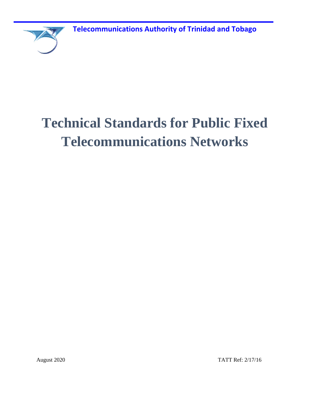**Telecommunications Authority of Trinidad and Tobago**



# **Technical Standards for Public Fixed Telecommunications Networks**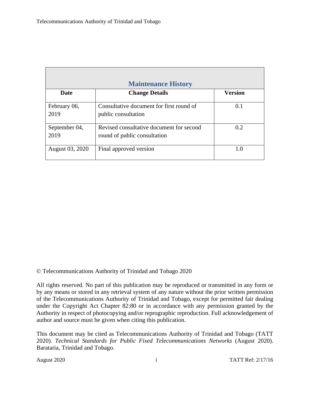<span id="page-1-0"></span>

| <b>Maintenance History</b> |                                                                          |                |  |  |
|----------------------------|--------------------------------------------------------------------------|----------------|--|--|
| <b>Date</b>                | <b>Change Details</b>                                                    | <b>Version</b> |  |  |
| February 06,<br>2019       | Consultative document for first round of<br>public consultation          | 0.1            |  |  |
| September 04,<br>2019      | Revised consultative document for second<br>round of public consultation | 0.2            |  |  |
| August 03, 2020            | Final approved version                                                   | 1.0            |  |  |

© Telecommunications Authority of Trinidad and Tobago 2020

All rights reserved. No part of this publication may be reproduced or transmitted in any form or by any means or stored in any retrieval system of any nature without the prior written permission of the Telecommunications Authority of Trinidad and Tobago, except for permitted fair dealing under the Copyright Act Chapter 82:80 or in accordance with any permission granted by the Authority in respect of photocopying and/or reprographic reproduction. Full acknowledgement of author and source must be given when citing this publication.

This document may be cited as Telecommunications Authority of Trinidad and Tobago (TATT 2020). *Technical Standards for Public Fixed Telecommunications Networks* (August 2020). Barataria, Trinidad and Tobago*.*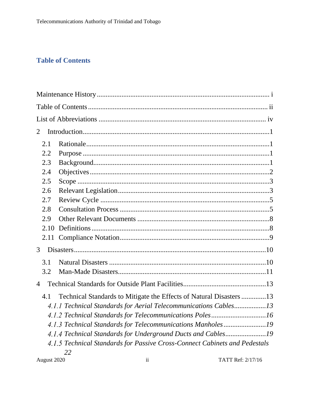# <span id="page-2-0"></span>**Table of Contents**

| 2                                                                          |  |
|----------------------------------------------------------------------------|--|
| 2.1                                                                        |  |
| 2.2                                                                        |  |
| 2.3                                                                        |  |
| 2.4                                                                        |  |
| 2.5                                                                        |  |
| 2.6                                                                        |  |
| 2.7                                                                        |  |
| 2.8                                                                        |  |
| 2.9                                                                        |  |
| 2.10                                                                       |  |
| 2.11                                                                       |  |
| 3                                                                          |  |
| 3.1                                                                        |  |
| 3.2                                                                        |  |
| $\overline{4}$                                                             |  |
| Technical Standards to Mitigate the Effects of Natural Disasters 13<br>4.1 |  |
| 4.1.1 Technical Standards for Aerial Telecommunications Cables13           |  |
| 4.1.2 Technical Standards for Telecommunications Poles16                   |  |
| 4.1.3 Technical Standards for Telecommunications Manholes19                |  |
| 4.1.4 Technical Standards for Underground Ducts and Cables19               |  |
| 4.1.5 Technical Standards for Passive Cross-Connect Cabinets and Pedestals |  |
| 22                                                                         |  |

August 2020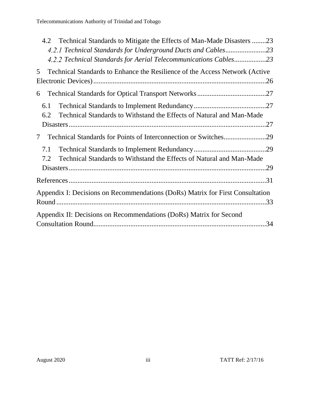| Technical Standards to Mitigate the Effects of Man-Made Disasters 23<br>4.2      |
|----------------------------------------------------------------------------------|
| 4.2.1 Technical Standards for Underground Ducts and Cables23                     |
| 4.2.2 Technical Standards for Aerial Telecommunications Cables23                 |
| Technical Standards to Enhance the Resilience of the Access Network (Active<br>5 |
|                                                                                  |
| 6                                                                                |
| 6.1                                                                              |
| Technical Standards to Withstand the Effects of Natural and Man-Made<br>6.2      |
|                                                                                  |
| 7                                                                                |
| 7.1                                                                              |
| Technical Standards to Withstand the Effects of Natural and Man-Made<br>7.2      |
|                                                                                  |
|                                                                                  |
| Appendix I: Decisions on Recommendations (DoRs) Matrix for First Consultation    |
|                                                                                  |
| Appendix II: Decisions on Recommendations (DoRs) Matrix for Second               |
|                                                                                  |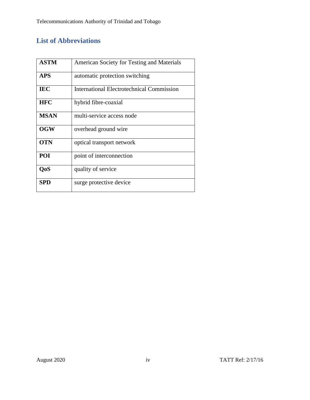# <span id="page-4-0"></span>**List of Abbreviations**

| <b>ASTM</b> | American Society for Testing and Materials       |
|-------------|--------------------------------------------------|
| <b>APS</b>  | automatic protection switching                   |
| <b>IEC</b>  | <b>International Electrotechnical Commission</b> |
| <b>HFC</b>  | hybrid fibre-coaxial                             |
| <b>MSAN</b> | multi-service access node                        |
| <b>OGW</b>  | overhead ground wire                             |
| <b>OTN</b>  | optical transport network                        |
| POI         | point of interconnection                         |
| <b>QoS</b>  | quality of service                               |
| <b>SPD</b>  | surge protective device                          |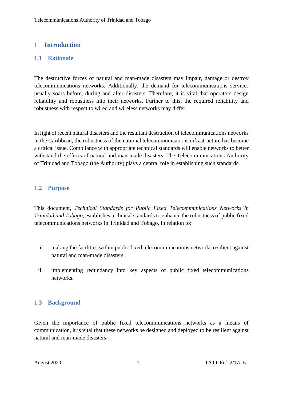# <span id="page-5-1"></span><span id="page-5-0"></span>**1 Introduction**

# **1.1 Rationale**

The destructive forces of natural and man-made disasters may impair, damage or destroy telecommunications networks. Additionally, the demand for telecommunications services usually soars before, during and after disasters. Therefore, it is vital that operators design reliability and robustness into their networks. Further to this, the required reliability and robustness with respect to wired and wireless networks may differ.

In light of recent natural disasters and the resultant destruction of telecommunications networks in the Caribbean, the robustness of the national telecommunications infrastructure has become a critical issue. Compliance with appropriate technical standards will enable networks to better withstand the effects of natural and man-made disasters. The Telecommunications Authority of Trinidad and Tobago (the Authority) plays a central role in establishing such standards.

# <span id="page-5-2"></span>**1.2 Purpose**

This document, *Technical Standards for Public Fixed Telecommunications Networks in Trinidad and Tobago,* establishes technical standards to enhance the robustness of public fixed telecommunications networks in Trinidad and Tobago, in relation to:

- i. making the facilities within public fixed telecommunications networks resilient against natural and man-made disasters.
- <span id="page-5-3"></span>ii. implementing redundancy into key aspects of public fixed telecommunications networks.

# **1.3 Background**

Given the importance of public fixed telecommunications networks as a means of communication, it is vital that these networks be designed and deployed to be resilient against natural and man-made disasters.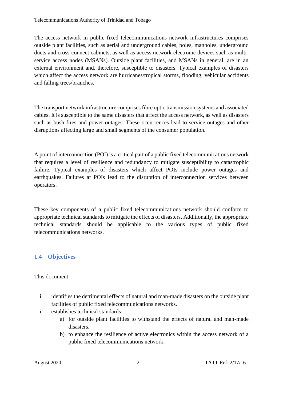The access network in public fixed telecommunications network infrastructures comprises outside plant facilities, such as aerial and underground cables, poles, manholes, underground ducts and cross-connect cabinets, as well as access network electronic devices such as multiservice access nodes (MSANs). Outside plant facilities, and MSANs in general, are in an external environment and, therefore, susceptible to disasters. Typical examples of disasters which affect the access network are hurricanes/tropical storms, flooding, vehicular accidents and falling trees/branches.

The transport network infrastructure comprises fibre optic transmission systems and associated cables. It is susceptible to the same disasters that affect the access network, as well as disasters such as bush fires and power outages. These occurrences lead to service outages and other disruptions affecting large and small segments of the consumer population.

A point of interconnection (POI) is a critical part of a public fixed telecommunications network that requires a level of resilience and redundancy to mitigate susceptibility to catastrophic failure. Typical examples of disasters which affect POIs include power outages and earthquakes. Failures at POIs lead to the disruption of interconnection services between operators.

<span id="page-6-0"></span>These key components of a public fixed telecommunications network should conform to appropriate technical standards to mitigate the effects of disasters. Additionally, the appropriate technical standards should be applicable to the various types of public fixed telecommunications networks.

# **1.4 Objectives**

This document:

- i. identifies the detrimental effects of natural and man-made disasters on the outside plant facilities of public fixed telecommunications networks.
- ii. establishes technical standards:
	- a) for outside plant facilities to withstand the effects of natural and man-made disasters.
	- b) to enhance the resilience of active electronics within the access network of a public fixed telecommunications network.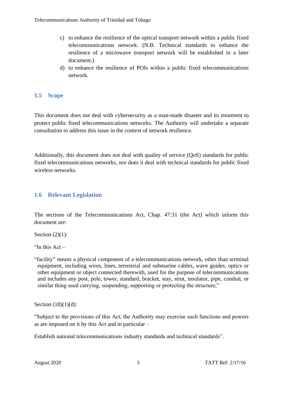- c) to enhance the resilience of the optical transport network within a public fixed telecommunications network. (N.B. Technical standards to enhance the resilience of a microwave transport network will be established in a later document.)
- d) to enhance the resilience of POIs within a public fixed telecommunications network.

# <span id="page-7-0"></span>**1.5 Scope**

This document does not deal with cybersecurity as a man-made disaster and its treatment to protect public fixed telecommunications networks. The Authority will undertake a separate consultation to address this issue in the context of network resilience.

<span id="page-7-1"></span>Additionally, this document does not deal with quality of service (QoS) standards for public fixed telecommunications networks, nor does it deal with technical standards for public fixed wireless networks.

# **1.6 Relevant Legislation**

The sections of the Telecommunications Act, Chap. 47:31 (the Act) which inform this document are:

Section  $(2)(1)$ :

"In this Act –

"facility" means a physical component of a telecommunications network, other than terminal equipment, including wires, lines, terrestrial and submarine cables, wave guides, optics or other equipment or object connected therewith, used for the purpose of telecommunications and includes any post, pole, tower, standard, bracket, stay, strut, insulator, pipe, conduit, or similar thing used carrying, suspending, supporting or protecting the structure;"

Section  $(18)(1)(d)$ :

"Subject to the provisions of this Act, the Authority may exercise such functions and powers as are imposed on it by this Act and in particular –

Establish national telecommunications industry standards and technical standards".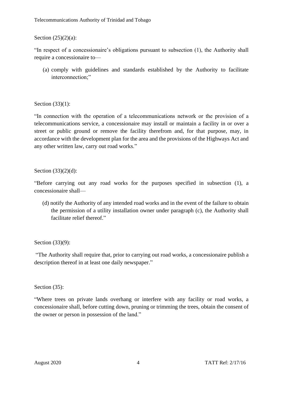### Section  $(25)(2)(a)$ :

"In respect of a concessionaire's obligations pursuant to subsection (1), the Authority shall require a concessionaire to—

(a) comply with guidelines and standards established by the Authority to facilitate interconnection:"

Section (33)(1):

"In connection with the operation of a telecommunications network or the provision of a telecommunications service, a concessionaire may install or maintain a facility in or over a street or public ground or remove the facility therefrom and, for that purpose, may, in accordance with the development plan for the area and the provisions of the Highways Act and any other written law, carry out road works."

Section (33)(2)(d):

"Before carrying out any road works for the purposes specified in subsection (1), a concessionaire shall—

(d) notify the Authority of any intended road works and in the event of the failure to obtain the permission of a utility installation owner under paragraph (c), the Authority shall facilitate relief thereof"

Section (33)(9):

"The Authority shall require that, prior to carrying out road works, a concessionaire publish a description thereof in at least one daily newspaper."

Section (35):

"Where trees on private lands overhang or interfere with any facility or road works, a concessionaire shall, before cutting down, pruning or trimming the trees, obtain the consent of the owner or person in possession of the land."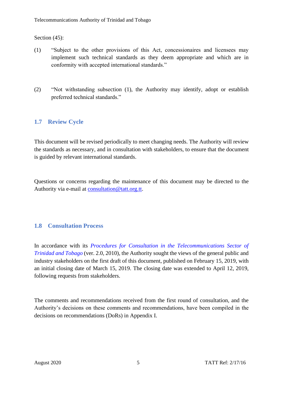Section (45):

- (1) "Subject to the other provisions of this Act, concessionaires and licensees may implement such technical standards as they deem appropriate and which are in conformity with accepted international standards."
- <span id="page-9-0"></span>(2) "Not withstanding subsection (1), the Authority may identify, adopt or establish preferred technical standards."

# **1.7 Review Cycle**

This document will be revised periodically to meet changing needs. The Authority will review the standards as necessary, and in consultation with stakeholders, to ensure that the document is guided by relevant international standards.

<span id="page-9-1"></span>Questions or concerns regarding the maintenance of this document may be directed to the Authority via e-mail at [consultation@tatt.org.tt.](mailto:consultation@tatt.org.tt)

# **1.8 Consultation Process**

In accordance with its *Procedures for Consultation in the Telecommunications Sector of [Trinidad and Tobago](https://tatt.org.tt/Portals/0/documents/Procedures%20for%20Consultation%20in%20the%20Telecommunication%20and%20Broadcasting%20Sectors.pdf)* (ver. 2.0, 2010), the Authority sought the views of the general public and industry stakeholders on the first draft of this document, published on February 15, 2019, with an initial closing date of March 15, 2019. The closing date was extended to April 12, 2019, following requests from stakeholders.

The comments and recommendations received from the first round of consultation, and the Authority's decisions on these comments and recommendations, have been compiled in the decisions on recommendations (DoRs) in Appendix I.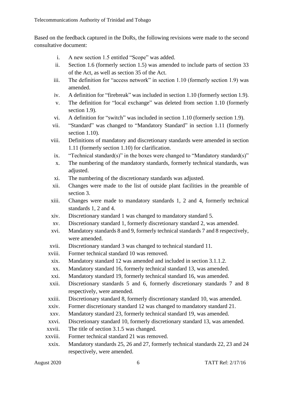Based on the feedback captured in the DoRs, the following revisions were made to the second consultative document:

- i. A new section 1.5 entitled "Scope" was added.
- ii. Section 1.6 (formerly section 1.5) was amended to include parts of section 33 of the Act, as well as section 35 of the Act.
- iii. The definition for "access network" in section 1.10 (formerly section 1.9) was amended.
- iv. A definition for "firebreak" was included in section 1.10 (formerly section 1.9).
- v. The definition for "local exchange" was deleted from section 1.10 (formerly section 1.9).
- vi. A definition for "switch" was included in section 1.10 (formerly section 1.9).
- vii. "Standard" was changed to "Mandatory Standard" in section 1.11 (formerly section 1.10).
- viii. Definitions of mandatory and discretionary standards were amended in section 1.11 (formerly section 1.10) for clarification.
- ix. "Technical standard(s)" in the boxes were changed to "Mandatory standard(s)"
- x. The numbering of the mandatory standards, formerly technical standards, was adjusted.
- xi. The numbering of the discretionary standards was adjusted.
- xii. Changes were made to the list of outside plant facilities in the preamble of section 3.
- xiii. Changes were made to mandatory standards 1, 2 and 4, formerly technical standards 1, 2 and 4.
- xiv. Discretionary standard 1 was changed to mandatory standard 5.
- xv. Discretionary standard 1, formerly discretionary standard 2, was amended.
- xvi. Mandatory standards 8 and 9, formerly technical standards 7 and 8 respectively, were amended.
- xvii. Discretionary standard 3 was changed to technical standard 11.
- xviii. Former technical standard 10 was removed.
- xix. Mandatory standard 12 was amended and included in section 3.1.1.2.
- xx. Mandatory standard 16, formerly technical standard 13, was amended.
- xxi. Mandatory standard 19, formerly technical standard 16, was amended.
- xxii. Discretionary standards 5 and 6, formerly discretionary standards 7 and 8 respectively, were amended.
- xxiii. Discretionary standard 8, formerly discretionary standard 10, was amended.
- xxiv. Former discretionary standard 12 was changed to mandatory standard 21.
- xxv. Mandatory standard 23, formerly technical standard 19, was amended.
- xxvi. Discretionary standard 10, formerly discretionary standard 13, was amended.
- xxvii. The title of section 3.1.5 was changed.
- xxviii. Former technical standard 21 was removed.
- xxix. Mandatory standards 25, 26 and 27, formerly technical standards 22, 23 and 24 respectively, were amended.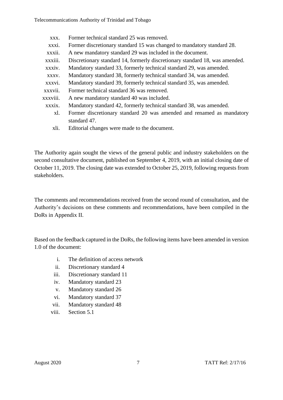Telecommunications Authority of Trinidad and Tobago

- xxx. Former technical standard 25 was removed.
- xxxi. Former discretionary standard 15 was changed to mandatory standard 28.
- xxxii. A new mandatory standard 29 was included in the document.
- xxxiii. Discretionary standard 14, formerly discretionary standard 18, was amended.
- xxxiv. Mandatory standard 33, formerly technical standard 29, was amended.
- xxxv. Mandatory standard 38, formerly technical standard 34, was amended.
- xxxvi. Mandatory standard 39, formerly technical standard 35, was amended.
- xxxvii. Former technical standard 36 was removed.
- xxxviii. A new mandatory standard 40 was included.
	- xxxix. Mandatory standard 42, formerly technical standard 38, was amended.
		- xl. Former discretionary standard 20 was amended and renamed as mandatory standard 47.
		- xli. Editorial changes were made to the document.

The Authority again sought the views of the general public and industry stakeholders on the second consultative document, published on September 4, 2019, with an initial closing date of October 11, 2019. The closing date was extended to October 25, 2019, following requests from stakeholders.

The comments and recommendations received from the second round of consultation, and the Authority's decisions on these comments and recommendations, have been compiled in the DoRs in Appendix II.

Based on the feedback captured in the DoRs, the following items have been amended in version 1.0 of the document:

- i. The definition of access network
- ii. Discretionary standard 4
- iii. Discretionary standard 11
- iv. Mandatory standard 23
- v. Mandatory standard 26
- vi. Mandatory standard 37
- vii. Mandatory standard 48
- viii. Section 5.1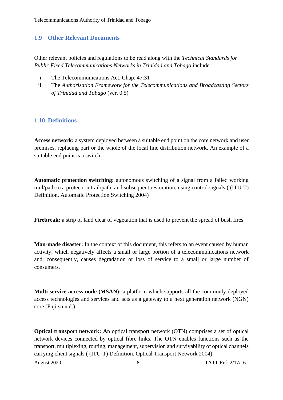# <span id="page-12-0"></span>**1.9 Other Relevant Documents**

Other relevant policies and regulations to be read along with the *Technical Standards for Public Fixed Telecommunications Networks in Trinidad and Tobago* include:

- i. The Telecommunications Act, Chap. 47:31
- <span id="page-12-1"></span>ii. The *[Authorisation Framework for the Telecommunications and Broadcasting Sectors](https://tatt.org.tt/Portals/0/Documents/Authorisation%20Framework.pdf)  [of Trinidad and Tobago](https://tatt.org.tt/Portals/0/Documents/Authorisation%20Framework.pdf)* (ver. 0.5)

# **1.10 Definitions**

**Access network:** a system deployed between a suitable end point on the core network and user premises, replacing part or the whole of the local line distribution network. An example of a suitable end point is a switch.

**Automatic protection switching:** autonomous switching of a signal from a failed working trail/path to a protection trail/path, and subsequent restoration, using control signals ( (ITU-T) Definition. Automatic Protection Switching 2004)

**Firebreak:** a strip of land clear of vegetation that is used to prevent the spread of bush fires

**Man-made disaster:** In the context of this document, this refers to an event caused by human activity, which negatively affects a small or large portion of a telecommunications network and, consequently, causes degradation or loss of service to a small or large number of consumers.

**Multi-service access node (MSAN):** a platform which supports all the commonly deployed access technologies and services and acts as a gateway to a next generation network (NGN) core (Fujitsu n.d.)

**Optical transport network:** An optical transport network (OTN) comprises a set of optical network devices connected by optical fibre links. The OTN enables functions such as the transport, multiplexing, routing, management, supervision and survivability of optical channels carrying client signals ( (ITU-T) Definition. Optical Transport Network 2004).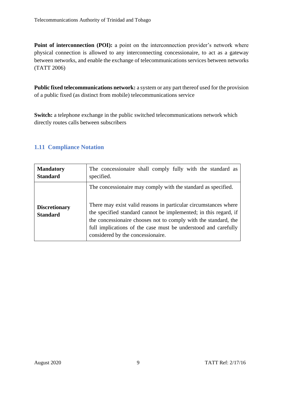**Point of interconnection (POI):** a point on the interconnection provider's network where physical connection is allowed to any interconnecting concessionaire, to act as a gateway between networks, and enable the exchange of telecommunications services between networks (TATT 2006)

**Public fixed telecommunications network:** a system or any part thereof used for the provision of a public fixed (as distinct from mobile) telecommunications service

<span id="page-13-0"></span>**Switch:** a telephone exchange in the public switched telecommunications network which directly routes calls between subscribers

# **1.11 Compliance Notation**

| <b>Mandatory</b>                        | The concessionaire shall comply fully with the standard as                                                                                                                                                                                                                                                                                                                     |
|-----------------------------------------|--------------------------------------------------------------------------------------------------------------------------------------------------------------------------------------------------------------------------------------------------------------------------------------------------------------------------------------------------------------------------------|
| <b>Standard</b>                         | specified.                                                                                                                                                                                                                                                                                                                                                                     |
| <b>Discretionary</b><br><b>Standard</b> | The concessionaire may comply with the standard as specified.<br>There may exist valid reasons in particular circumstances where<br>the specified standard cannot be implemented; in this regard, if<br>the concessionaire chooses not to comply with the standard, the<br>full implications of the case must be understood and carefully<br>considered by the concessionaire. |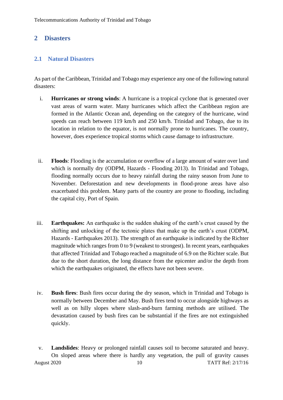# <span id="page-14-1"></span><span id="page-14-0"></span>**2 Disasters**

# **2.1 Natural Disasters**

As part of the Caribbean, Trinidad and Tobago may experience any one of the following natural disasters:

- i. **Hurricanes or strong winds**: A hurricane is a tropical cyclone that is generated over vast areas of warm water. Many hurricanes which affect the Caribbean region are formed in the Atlantic Ocean and, depending on the category of the hurricane, wind speeds can reach between 119 km/h and 250 km/h. Trinidad and Tobago, due to its location in relation to the equator, is not normally prone to hurricanes. The country, however, does experience tropical storms which cause damage to infrastructure.
- ii. **Floods**: Flooding is the accumulation or overflow of a large amount of water over land which is normally dry (ODPM, Hazards - Flooding 2013). In Trinidad and Tobago, flooding normally occurs due to heavy rainfall during the rainy season from June to November. Deforestation and new developments in flood-prone areas have also exacerbated this problem. Many parts of the country are prone to flooding, including the capital city, Port of Spain.
- iii. **Earthquakes:** An earthquake is the sudden shaking of the earth's crust caused by the shifting and unlocking of the tectonic plates that make up the earth's crust (ODPM, Hazards - Earthquakes 2013). The strength of an earthquake is indicated by the Richter magnitude which ranges from 0 to 9 (weakest to strongest). In recent years, earthquakes that affected Trinidad and Tobago reached a magnitude of 6.9 on the Richter scale. But due to the short duration, the long distance from the epicenter and/or the depth from which the earthquakes originated, the effects have not been severe.
- iv. **Bush fires**: Bush fires occur during the dry season, which in Trinidad and Tobago is normally between December and May. Bush fires tend to occur alongside highways as well as on hilly slopes where slash-and-burn farming methods are utilised. The devastation caused by bush fires can be substantial if the fires are not extinguished quickly.
- August 2020 10 10 TATT Ref: 2/17/16 v. **Landslides**: Heavy or prolonged rainfall causes soil to become saturated and heavy. On sloped areas where there is hardly any vegetation, the pull of gravity causes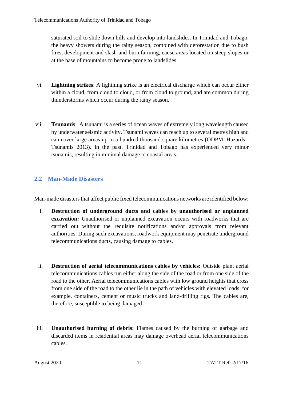saturated soil to slide down hills and develop into landslides. In Trinidad and Tobago, the heavy showers during the rainy season, combined with deforestation due to bush fires, development and slash-and-burn farming, cause areas located on steep slopes or at the base of mountains to become prone to landslides.

- vi. **Lightning strikes**: A lightning strike is an electrical discharge which can occur either within a cloud, from cloud to cloud, or from cloud to ground, and are common during thunderstorms which occur during the rainy season.
- vii. **Tsunamis**: A tsunami is a series of ocean waves of extremely long wavelength caused by underwater seismic activity. Tsunami waves can reach up to several metres high and can cover large areas up to a hundred thousand square kilometres (ODPM, Hazards - Tsunamis 2013). In the past, Trinidad and Tobago has experienced very minor tsunamis, resulting in minimal damage to coastal areas.

# <span id="page-15-0"></span>**2.2 Man-Made Disasters**

Man-made disasters that affect public fixed telecommunications networks are identified below:

- i. **Destruction of underground ducts and cables by unauthorised or unplanned excavation:** Unauthorised or unplanned excavation occurs with roadworks that are carried out without the requisite notifications and/or approvals from relevant authorities. During such excavations, roadwork equipment may penetrate underground telecommunications ducts, causing damage to cables.
- ii. **Destruction of aerial telecommunications cables by vehicles:** Outside plant aerial telecommunications cables run either along the side of the road or from one side of the road to the other. Aerial telecommunications cables with low ground heights that cross from one side of the road to the other lie in the path of vehicles with elevated loads, for example, containers, cement or music trucks and land-drilling rigs. The cables are, therefore, susceptible to being damaged.
- iii. **Unauthorised burning of debris:** Flames caused by the burning of garbage and discarded items in residential areas may damage overhead aerial telecommunications cables.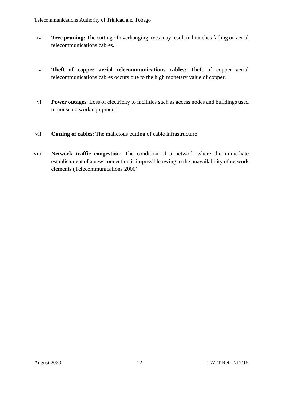- iv. **Tree pruning:** The cutting of overhanging trees may result in branches falling on aerial telecommunications cables.
- v. **Theft of copper aerial telecommunications cables:** Theft of copper aerial telecommunications cables occurs due to the high monetary value of copper.
- vi. **Power outages**: Loss of electricity to facilities such as access nodes and buildings used to house network equipment
- vii. **Cutting of cables**: The malicious cutting of cable infrastructure
- viii. **Network traffic congestion**: The condition of a network where the immediate establishment of a new connection is impossible owing to the unavailability of network elements (Telecommunications 2000)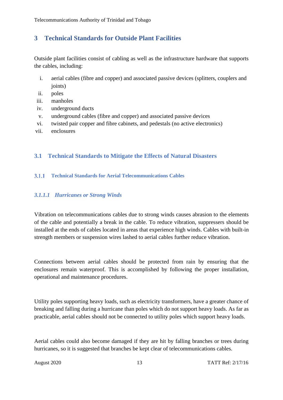# <span id="page-17-0"></span>**3 Technical Standards for Outside Plant Facilities**

Outside plant facilities consist of cabling as well as the infrastructure hardware that supports the cables, including:

- i. aerial cables (fibre and copper) and associated passive devices (splitters, couplers and joints)
- ii. poles
- iii. manholes
- iv. underground ducts
- v. underground cables (fibre and copper) and associated passive devices
- vi. twisted pair copper and fibre cabinets, and pedestals (no active electronics)
- <span id="page-17-1"></span>vii. enclosures

# <span id="page-17-2"></span>**3.1 Technical Standards to Mitigate the Effects of Natural Disasters**

# **Technical Standards for Aerial Telecommunications Cables**

# *3.1.1.1 Hurricanes or Strong Winds*

Vibration on telecommunications cables due to strong winds causes abrasion to the elements of the cable and potentially a break in the cable. To reduce vibration, suppressers should be installed at the ends of cables located in areas that experience high winds. Cables with built-in strength members or suspension wires lashed to aerial cables further reduce vibration.

Connections between aerial cables should be protected from rain by ensuring that the enclosures remain waterproof. This is accomplished by following the proper installation, operational and maintenance procedures.

Utility poles supporting heavy loads, such as electricity transformers, have a greater chance of breaking and falling during a hurricane than poles which do not support heavy loads. As far as practicable, aerial cables should not be connected to utility poles which support heavy loads.

Aerial cables could also become damaged if they are hit by falling branches or trees during hurricanes, so it is suggested that branches be kept clear of telecommunications cables.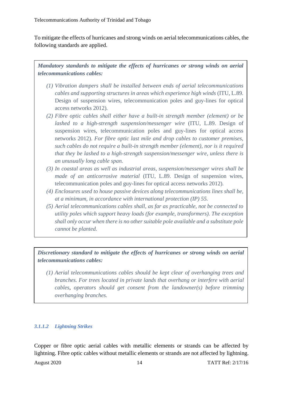To mitigate the effects of hurricanes and strong winds on aerial telecommunications cables, the following standards are applied.

*Mandatory standards to mitigate the effects of hurricanes or strong winds on aerial telecommunications cables:*

- *(1) Vibration dampers shall be installed between ends of aerial telecommunications cables and supporting structures in areas which experience high winds* (ITU, L.89. Design of suspension wires, telecommunication poles and guy-lines for optical access networks 2012)*.*
- *(2) Fibre optic cables shall either have a built-in strength member (element) or be lashed to a high-strength suspension/messenger wire* (ITU, L.89. Design of suspension wires, telecommunication poles and guy-lines for optical access networks 2012)*. For fibre optic last mile and drop cables to customer premises, such cables do not require a built-in strength member (element), nor is it required that they be lashed to a high-strength suspension/messenger wire, unless there is an unusually long cable span.*
- *(3) In coastal areas as well as industrial areas, suspension/messenger wires shall be made of an anticorrosive material* (ITU, L.89. Design of suspension wires, telecommunication poles and guy-lines for optical access networks 2012)*.*
- *(4) Enclosures used to house passive devices along telecommunications lines shall be, at a minimum, in accordance with international protection (IP) 55.*
- *(5) Aerial telecommunications cables shall, as far as practicable, not be connected to utility poles which support heavy loads (for example, transformers). The exception shall only occur when there is no other suitable pole available and a substitute pole cannot be planted.*

*Discretionary standard to mitigate the effects of hurricanes or strong winds on aerial telecommunications cables:*

*(1) Aerial telecommunications cables should be kept clear of overhanging trees and branches. For trees located in private lands that overhang or interfere with aerial cables, operators should get consent from the landowner(s) before trimming overhanging branches.*

# *3.1.1.2 Lightning Strikes*

Copper or fibre optic aerial cables with metallic elements or strands can be affected by lightning. Fibre optic cables without metallic elements or strands are not affected by lightning.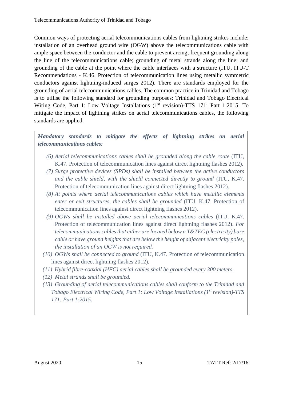Common ways of protecting aerial telecommunications cables from lightning strikes include: installation of an overhead ground wire (OGW) above the telecommunications cable with ample space between the conductor and the cable to prevent arcing; frequent grounding along the line of the telecommunications cable; grounding of metal strands along the line; and grounding of the cable at the point where the cable interfaces with a structure (ITU, ITU-T Recommendations - K.46. Protection of telecommunication lines using metallic symmetric conductors against lightning-induced surges 2012). There are standards employed for the grounding of aerial telecommunications cables. The common practice in Trinidad and Tobago is to utilise the following standard for grounding purposes: Trinidad and Tobago Electrical Wiring Code, Part 1: Low Voltage Installations (1<sup>st</sup> revision)-TTS 171: Part 1:2015. To mitigate the impact of lightning strikes on aerial telecommunications cables, the following standards are applied.

*Mandatory standards to mitigate the effects of lightning strikes on aerial telecommunications cables:*

- *(6) Aerial telecommunications cables shall be grounded along the cable route* (ITU, K.47. Protection of telecommunication lines against direct lightning flashes 2012)*.*
- *(7) Surge protective devices (SPDs) shall be installed between the active conductors and the cable shield, with the shield connected directly to ground* (ITU, K.47. Protection of telecommunication lines against direct lightning flashes 2012)*.*
- *(8) At points where aerial telecommunications cables which have metallic elements enter or exit structures, the cables shall be grounded* (ITU, K.47. Protection of telecommunication lines against direct lightning flashes 2012)*.*
- *(9) OGWs shall be installed above aerial telecommunications cables* (ITU, K.47. Protection of telecommunication lines against direct lightning flashes 2012)*. For telecommunications cables that either are located below a T&TEC (electricity) bare cable or have ground heights that are below the height of adjacent electricity poles, the installation of an OGW is not required.*
- *(10) OGWs shall be connected to ground* (ITU, K.47. Protection of telecommunication lines against direct lightning flashes 2012)*.*
- *(11) Hybrid fibre-coaxial (HFC) aerial cables shall be grounded every 300 meters.*
- *(12) Metal strands shall be grounded.*
- *(13) Grounding of aerial telecommunications cables shall conform to the Trinidad and Tobago Electrical Wiring Code, Part 1: Low Voltage Installations (1st revision)-TTS 171: Part 1:2015.*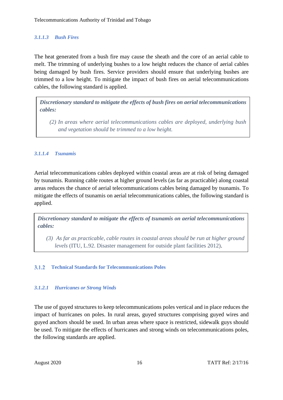# *3.1.1.3 Bush Fires*

The heat generated from a bush fire may cause the sheath and the core of an aerial cable to melt. The trimming of underlying bushes to a low height reduces the chance of aerial cables being damaged by bush fires. Service providers should ensure that underlying bushes are trimmed to a low height. To mitigate the impact of bush fires on aerial telecommunications cables, the following standard is applied.

*Discretionary standard to mitigate the effects of bush fires on aerial telecommunications cables:*

*(2) In areas where aerial telecommunications cables are deployed, underlying bush and vegetation should be trimmed to a low height.*

# *3.1.1.4 Tsunamis*

Aerial telecommunications cables deployed within coastal areas are at risk of being damaged by tsunamis. Running cable routes at higher ground levels (as far as practicable) along coastal areas reduces the chance of aerial telecommunications cables being damaged by tsunamis. To mitigate the effects of tsunamis on aerial telecommunications cables, the following standard is applied.

*Discretionary standard to mitigate the effects of tsunamis on aerial telecommunications cables:*

<span id="page-20-0"></span>*(3) As far as practicable, cable routes in coastal areas should be run at higher ground levels* (ITU, L.92. Disaster management for outside plant facilities 2012).

# **Technical Standards for Telecommunications Poles**

# *3.1.2.1 Hurricanes or Strong Winds*

The use of guyed structures to keep telecommunications poles vertical and in place reduces the impact of hurricanes on poles. In rural areas, guyed structures comprising guyed wires and guyed anchors should be used. In urban areas where space is restricted, sidewalk guys should be used. To mitigate the effects of hurricanes and strong winds on telecommunications poles, the following standards are applied.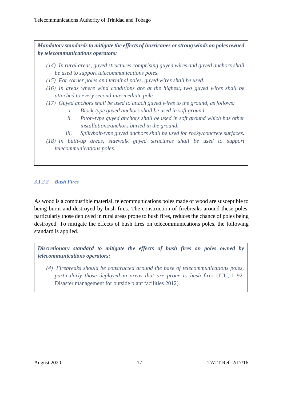*Mandatory standards to mitigate the effects of hurricanes or strong winds on poles owned by telecommunications operators:*

- *(14) In rural areas, guyed structures comprising guyed wires and guyed anchors shall be used to support telecommunications poles.*
- *(15) For corner poles and terminal poles, guyed wires shall be used.*
- *(16) In areas where wind conditions are at the highest, two guyed wires shall be attached to every second intermediate pole.*
- *(17) Guyed anchors shall be used to attach guyed wires to the ground, as follows:*
	- *i. Block-type guyed anchors shall be used in soft ground.*
	- *ii. Piton-type guyed anchors shall be used in soft ground which has other installations/anchors buried in the ground*.
	- *iii. Spikybolt-type guyed anchors shall be used for rocky/concrete surfaces*.
- *(18) In built-up areas, sidewalk guyed structures shall be used to support telecommunications poles.*

# *3.1.2.2 Bush Fires*

As wood is a combustible material, telecommunications poles made of wood are susceptible to being burnt and destroyed by bush fires. The construction of firebreaks around these poles, particularly those deployed in rural areas prone to bush fires, reduces the chance of poles being destroyed. To mitigate the effects of bush fires on telecommunications poles, the following standard is applied.

*Discretionary standard to mitigate the effects of bush fires on poles owned by telecommunications operators:*

*(4) Firebreaks should be constructed around the base of telecommunications poles, particularly those deployed in areas that are prone to bush fires* (ITU, L.92. Disaster management for outside plant facilities 2012)*.*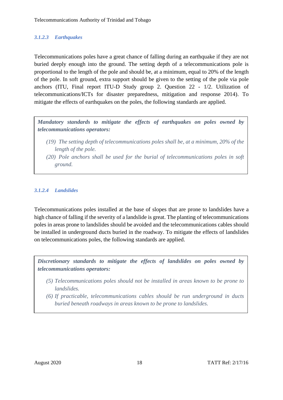# *3.1.2.3 Earthquakes*

Telecommunications poles have a great chance of falling during an earthquake if they are not buried deeply enough into the ground. The setting depth of a telecommunications pole is proportional to the length of the pole and should be, at a minimum, equal to 20% of the length of the pole. In soft ground, extra support should be given to the setting of the pole via pole anchors (ITU, Final report ITU-D Study group 2. Question 22 - 1/2. Utilization of telecommunications/ICTs for disaster preparedness, mitigation and response 2014). To mitigate the effects of earthquakes on the poles, the following standards are applied.

*Mandatory standards to mitigate the effects of earthquakes on poles owned by telecommunications operators:*

- *(19) The setting depth of telecommunications poles shall be, at a minimum, 20% of the length of the pole.*
- *(20) Pole anchors shall be used for the burial of telecommunications poles in soft ground.*

### *3.1.2.4 Landslides*

Telecommunications poles installed at the base of slopes that are prone to landslides have a high chance of falling if the severity of a landslide is great. The planting of telecommunications poles in areas prone to landslides should be avoided and the telecommunications cables should be installed in underground ducts buried in the roadway. To mitigate the effects of landslides on telecommunications poles, the following standards are applied.

*Discretionary standards to mitigate the effects of landslides on poles owned by telecommunications operators:* 

- *(5) Telecommunications poles should not be installed in areas known to be prone to landslides.*
- *(6) If practicable, telecommunications cables should be run underground in ducts buried beneath roadways in areas known to be prone to landslides.*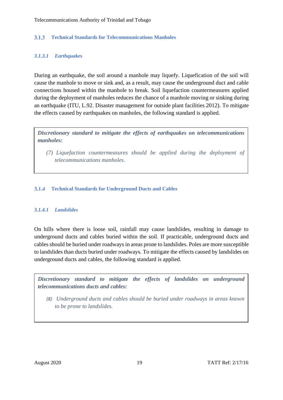#### <span id="page-23-0"></span>**Technical Standards for Telecommunications Manholes**  $3.1.3$

# *3.1.3.1 Earthquakes*

During an earthquake, the soil around a manhole may liquefy. Liquefication of the soil will cause the manhole to move or sink and, as a result, may cause the underground duct and cable connections housed within the manhole to break. Soil liquefaction countermeasures applied during the deployment of manholes reduces the chance of a manhole moving or sinking during an earthquake (ITU, L.92. Disaster management for outside plant facilities 2012). To mitigate the effects caused by earthquakes on manholes, the following standard is applied.

*Discretionary standard to mitigate the effects of earthquakes on telecommunications manholes:*

<span id="page-23-1"></span>*(7) Liquefaction countermeasures should be applied during the deployment of telecommunications manholes*.

### **Technical Standards for Underground Ducts and Cables**

### *3.1.4.1 Landslides*

On hills where there is loose soil, rainfall may cause landslides, resulting in damage to underground ducts and cables buried within the soil. If practicable, underground ducts and cables should be buried under roadways in areas prone to landslides. Poles are more susceptible to landslides than ducts buried under roadways. To mitigate the effects caused by landslides on underground ducts and cables, the following standard is applied.

*Discretionary standard to mitigate the effects of landslides on underground telecommunications ducts and cables:*

*(8) Underground ducts and cables should be buried under roadways in areas known to be prone to landslides.*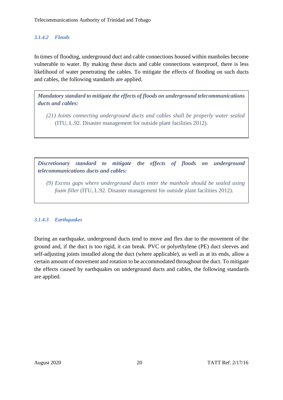# *3.1.4.2 Floods*

In times of flooding, underground duct and cable connections housed within manholes become vulnerable to water. By making these ducts and cable connections waterproof, there is less likelihood of water penetrating the cables. To mitigate the effects of flooding on such ducts and cables, the following standards are applied.

*Mandatory standard to mitigate the effects of floods on underground telecommunications ducts and cables:*

*(21) Joints connecting underground ducts and cables shall be properly water sealed*  (ITU, L.92. Disaster management for outside plant facilities 2012)*.*

*Discretionary standard to mitigate the effects of floods on underground telecommunications ducts and cables:*

*(9) Excess gaps where underground ducts enter the manhole should be sealed using foam filler* (ITU, L.92. Disaster management for outside plant facilities 2012).

# *3.1.4.3 Earthquakes*

During an earthquake, underground ducts tend to move and flex due to the movement of the ground and, if the duct is too rigid, it can break. PVC or polyethylene (PE) duct sleeves and self-adjusting joints installed along the duct (where applicable), as well as at its ends, allow a certain amount of movement and rotation to be accommodated throughout the duct. To mitigate the effects caused by earthquakes on underground ducts and cables, the following standards are applied.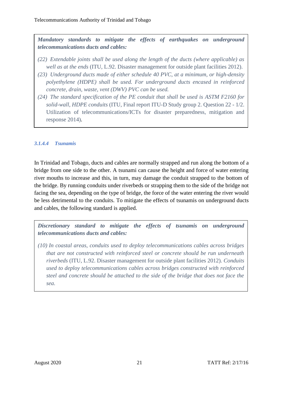*Mandatory standards to mitigate the effects of earthquakes on underground telecommunications ducts and cables:*

- *(22) Extendable joints shall be used along the length of the ducts (where applicable) as well as at the ends* (ITU, L.92. Disaster management for outside plant facilities 2012).
- *(23) Underground ducts made of either schedule 40 PVC, at a minimum, or high-density polyethylene (HDPE) shall be used. For underground ducts encased in reinforced concrete, drain, waste, vent (DWV) PVC can be used.*
- *(24) The standard specification of the PE conduit that shall be used is ASTM F2160 for solid-wall, HDPE conduits* (ITU, Final report ITU-D Study group 2. Question 22 - 1/2. Utilization of telecommunications/ICTs for disaster preparedness, mitigation and response 2014).

# *3.1.4.4 Tsunamis*

In Trinidad and Tobago, ducts and cables are normally strapped and run along the bottom of a bridge from one side to the other. A tsunami can cause the height and force of water entering river mouths to increase and this, in turn, may damage the conduit strapped to the bottom of the bridge. By running conduits under riverbeds or strapping them to the side of the bridge not facing the sea, depending on the type of bridge, the force of the water entering the river would be less detrimental to the conduits. To mitigate the effects of tsunamis on underground ducts and cables, the following standard is applied.

*Discretionary standard to mitigate the effects of tsunamis on underground telecommunications ducts and cables:*

*(10) In coastal areas, conduits used to deploy telecommunications cables across bridges that are not constructed with reinforced steel or concrete should be run underneath riverbeds* (ITU, L.92. Disaster management for outside plant facilities 2012)*. Conduits used to deploy telecommunications cables across bridges constructed with reinforced steel and concrete should be attached to the side of the bridge that does not face the sea.*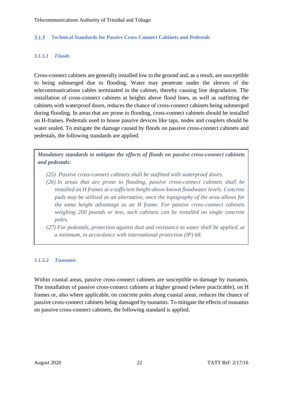#### <span id="page-26-0"></span>**Technical Standards for Passive Cross-Connect Cabinets and Pedestals**  $3.1.5$

### *3.1.5.1 Floods*

Cross-connect cabinets are generally installed low to the ground and, as a result, are susceptible to being submerged due to flooding. Water may penetrate under the sleeves of the telecommunications cables terminated in the cabinet, thereby causing line degradation. The installation of cross-connect cabinets at heights above flood lines, as well as outfitting the cabinets with waterproof doors, reduces the chance of cross-connect cabinets being submerged during flooding. In areas that are prone to flooding, cross-connect cabinets should be installed on H-frames. Pedestals used to house passive devices like taps, nodes and couplers should be water sealed. To mitigate the damage caused by floods on passive cross-connect cabinets and pedestals, the following standards are applied.

*Mandatory standards to mitigate the effects of floods on passive cross-connect cabinets and pedestals:*

- *(25) Passive cross-connect cabinets shall be outfitted with waterproof doors.*
- *(26) In areas that are prone to flooding, passive cross-connect cabinets shall be installed on H frames at a sufficient height above known floodwater levels. Concrete pads may be utilised as an alternative, once the topography of the area allows for the same height advantage as an H frame. For passive cross-connect cabinets weighing 200 pounds or less, such cabinets can be installed on single concrete poles.*
- *(27) For pedestals, protection against dust and resistance to water shall be applied, at a minimum, in accordance with international protection (IP) 68.*

### *3.1.5.2 Tsunamis*

Within coastal areas, passive cross-connect cabinets are susceptible to damage by tsunamis. The installation of passive cross-connect cabinets at higher ground (where practicable), on H frames or, also where applicable, on concrete poles along coastal areas, reduces the chance of passive cross-connect cabinets being damaged by tsunamis. To mitigate the effects of tsunamis on passive cross-connect cabinets, the following standard is applied.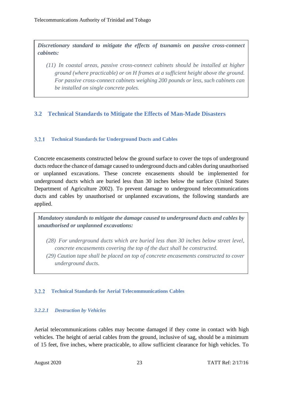*Discretionary standard to mitigate the effects of tsunamis on passive cross-connect cabinets:*

*(11) In coastal areas, passive cross-connect cabinets should be installed at higher ground (where practicable) or on H frames at a sufficient height above the ground. For passive cross-connect cabinets weighing 200 pounds or less, such cabinets can be installed on single concrete poles.*

# <span id="page-27-1"></span><span id="page-27-0"></span>**3.2 Technical Standards to Mitigate the Effects of Man-Made Disasters**

# **Technical Standards for Underground Ducts and Cables**

Concrete encasements constructed below the ground surface to cover the tops of underground ducts reduce the chance of damage caused to underground ducts and cables during unauthorised or unplanned excavations. These concrete encasements should be implemented for underground ducts which are buried less than 30 inches below the surface (United States Department of Agriculture 2002). To prevent damage to underground telecommunications ducts and cables by unauthorised or unplanned excavations, the following standards are applied.

*Mandatory standards to mitigate the damage caused to underground ducts and cables by unauthorised or unplanned excavations:*

- *(28) For underground ducts which are buried less than 30 inches below street level, concrete encasements covering the top of the duct shall be constructed.*
- <span id="page-27-2"></span>*(29) Caution tape shall be placed on top of concrete encasements constructed to cover underground ducts.*

# **Technical Standards for Aerial Telecommunications Cables**

# *3.2.2.1 Destruction by Vehicles*

Aerial telecommunications cables may become damaged if they come in contact with high vehicles. The height of aerial cables from the ground, inclusive of sag, should be a minimum of 15 feet, five inches, where practicable, to allow sufficient clearance for high vehicles. To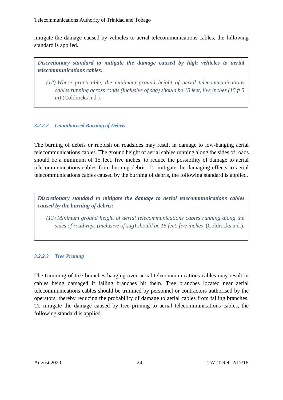mitigate the damage caused by vehicles to aerial telecommunications cables, the following standard is applied.

*Discretionary standard to mitigate the damage caused by high vehicles to aerial telecommunications cables:*

*(12) Where practicable, the minimum ground height of aerial telecommunications cables running across roads (inclusive of sag) should be 15 feet, five inches (15 ft 5 in)* (Coldrocks n.d.)*.*

# *3.2.2.2 Unauthorised Burning of Debris*

The burning of debris or rubbish on roadsides may result in damage to low-hanging aerial telecommunications cables. The ground height of aerial cables running along the sides of roads should be a minimum of 15 feet, five inches, to reduce the possibility of damage to aerial telecommunications cables from burning debris. To mitigate the damaging effects to aerial telecommunications cables caused by the burning of debris, the following standard is applied.

*Discretionary standard to mitigate the damage to aerial telecommunications cables caused by the burning of debris:*

*(13) Minimum ground height of aerial telecommunications cables running along the sides of roadways (inclusive of sag) should be 15 feet, five inches* (Coldrocks n.d.)*.*

# *3.2.2.3 Tree Pruning*

The trimming of tree branches hanging over aerial telecommunications cables may result in cables being damaged if falling branches hit them. Tree branches located near aerial telecommunications cables should be trimmed by personnel or contractors authorised by the operators, thereby reducing the probability of damage to aerial cables from falling branches. To mitigate the damage caused by tree pruning to aerial telecommunications cables, the following standard is applied.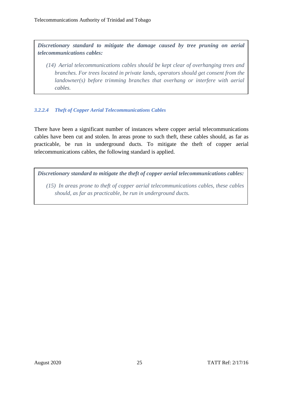*Discretionary standard to mitigate the damage caused by tree pruning on aerial telecommunications cables:*

*(14) Aerial telecommunications cables should be kept clear of overhanging trees and branches. For trees located in private lands, operators should get consent from the landowner(s) before trimming branches that overhang or interfere with aerial cables.* 

# *3.2.2.4 Theft of Copper Aerial Telecommunications Cables*

There have been a significant number of instances where copper aerial telecommunications cables have been cut and stolen. In areas prone to such theft, these cables should, as far as practicable, be run in underground ducts. To mitigate the theft of copper aerial telecommunications cables, the following standard is applied.

*Discretionary standard to mitigate the theft of copper aerial telecommunications cables:*

*(15) In areas prone to theft of copper aerial telecommunications cables, these cables should, as far as practicable, be run in underground ducts.*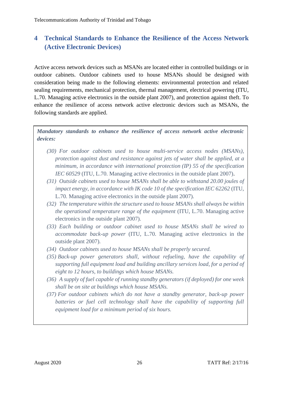# <span id="page-30-0"></span>**4 Technical Standards to Enhance the Resilience of the Access Network (Active Electronic Devices)**

Active access network devices such as MSANs are located either in controlled buildings or in outdoor cabinets. Outdoor cabinets used to house MSANs should be designed with consideration being made to the following elements: environmental protection and related sealing requirements, mechanical protection, thermal management, electrical powering (ITU, L.70. Managing active electronics in the outside plant 2007), and protection against theft. To enhance the resilience of access network active electronic devices such as MSANs, the following standards are applied.

*Mandatory standards to enhance the resilience of access network active electronic devices:*

- *(30) For outdoor cabinets used to house multi-service access nodes (MSANs), protection against dust and resistance against jets of water shall be applied, at a minimum, in accordance with international protection (IP) 55 of the specification IEC 60529* (ITU, L.70. Managing active electronics in the outside plant 2007).
- *(31) Outside cabinets used to house MSANs shall be able to withstand 20.00 joules of impact energy, in accordance with IK code 10 of the specification IEC 62262* (ITU, L.70. Managing active electronics in the outside plant 2007)*.*
- *(32) The temperature within the structure used to house MSANs shall always be within the operational temperature range of the equipment* (ITU, L.70. Managing active electronics in the outside plant 2007)*.*
- *(33) Each building or outdoor cabinet used to house MSANs shall be wired to accommodate back-up power* (ITU, L.70. Managing active electronics in the outside plant 2007)*.*
- *(34) Outdoor cabinets used to house MSANs shall be properly secured.*
- *(35) Back-up power generators shall*, *without refueling, have the capability of supporting full equipment load and building ancillary services load, for a period of eight to 12 hours, to buildings which house MSANs.*
- *(36) A supply of fuel capable of running standby generators (if deployed) for one week shall be on site at buildings which house MSANs.*
- *(37) For outdoor cabinets which do not have a standby generator, back-up power*  batteries or fuel cell technology shall have the capability of supporting full *equipment load for a minimum period of six hours.*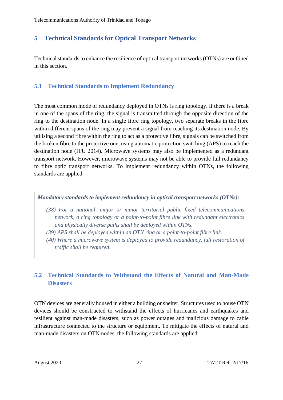# <span id="page-31-0"></span>**5 Technical Standards for Optical Transport Networks**

<span id="page-31-1"></span>Technical standards to enhance the resilience of optical transport networks (OTNs) are outlined in this section.

# **5.1 Technical Standards to Implement Redundancy**

The most common mode of redundancy deployed in OTNs is ring topology. If there is a break in one of the spans of the ring, the signal is transmitted through the opposite direction of the ring to the destination node. In a single fibre ring topology, two separate breaks in the fibre within different spans of the ring may prevent a signal from reaching its destination node. By utilising a second fibre within the ring to act as a protective fibre, signals can be switched from the broken fibre to the protective one, using automatic protection switching (APS) to reach the destination node (ITU 2014). Microwave systems may also be implemented as a redundant transport network. However, microwave systems may not be able to provide full redundancy to fibre optic transport networks. To implement redundancy within OTNs, the following standards are applied.

*Mandatory standards to implement redundancy in optical transport networks (OTNs):*

- *(38) For a national, major or minor territorial public fixed telecommunications network, a ring topology or a point-to-point fibre link with redundant electronics and physically diverse paths shall be deployed within OTNs.*
- *(39) APS shall be deployed within an OTN ring or a point-to-point fibre link.*
- <span id="page-31-2"></span>*(40) Where a microwave system is deployed to provide redundancy, full restoration of traffic shall be required.*

# **5.2 Technical Standards to Withstand the Effects of Natural and Man-Made Disasters**

OTN devices are generally housed in either a building or shelter. Structures used to house OTN devices should be constructed to withstand the effects of hurricanes and earthquakes and resilient against man-made disasters, such as power outages and malicious damage to cable infrastructure connected to the structure or equipment. To mitigate the effects of natural and man-made disasters on OTN nodes, the following standards are applied.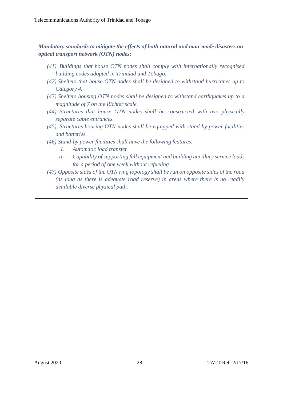*Mandatory standards to mitigate the effects of both natural and man-made disasters on optical transport network (OTN) nodes:*

- *(41) Buildings that house OTN nodes shall comply with internationally recognised building codes adopted in Trinidad and Tobago.*
- *(42) Shelters that house OTN nodes shall be designed to withstand hurricanes up to Category 4.*
- *(43) Shelters housing OTN nodes shall be designed to withstand earthquakes up to a magnitude of 7 on the Richter scale.*
- *(44) Structures that house OTN nodes shall be constructed with two physically separate cable entrances.*
- *(45) Structures housing OTN nodes shall be equipped with stand-by power facilities and batteries.*
- *(46) Stand-by power facilities shall have the following features:*
	- *I. Automatic load transfer*
	- *II. Capability of supporting full equipment and building ancillary service loads for a period of one week without refueling*
- *(47) Opposite sides of the OTN ring topology shall be run on opposite sides of the road (as long as there is adequate road reserve) in areas where there is no readily available diverse physical path.*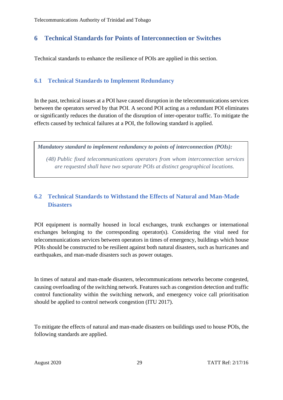# <span id="page-33-0"></span>**6 Technical Standards for Points of Interconnection or Switches**

<span id="page-33-1"></span>Technical standards to enhance the resilience of POIs are applied in this section.

# **6.1 Technical Standards to Implement Redundancy**

In the past, technical issues at a POI have caused disruption in the telecommunications services between the operators served by that POI. A second POI acting as a redundant POI eliminates or significantly reduces the duration of the disruption of inter-operator traffic. To mitigate the effects caused by technical failures at a POI, the following standard is applied.

*Mandatory standard to implement redundancy to points of interconnection (POIs):*

<span id="page-33-2"></span>*(48) Public fixed telecommunications operators from whom interconnection services are requested shall have two separate POIs at distinct geographical locations.*

# **6.2 Technical Standards to Withstand the Effects of Natural and Man-Made Disasters**

POI equipment is normally housed in local exchanges, trunk exchanges or international exchanges belonging to the corresponding operator(s). Considering the vital need for telecommunications services between operators in times of emergency, buildings which house POIs should be constructed to be resilient against both natural disasters, such as hurricanes and earthquakes, and man-made disasters such as power outages.

In times of natural and man-made disasters, telecommunications networks become congested, causing overloading of the switching network. Features such as congestion detection and traffic control functionality within the switching network, and emergency voice call prioritisation should be applied to control network congestion (ITU 2017).

To mitigate the effects of natural and man-made disasters on buildings used to house POIs, the following standards are applied.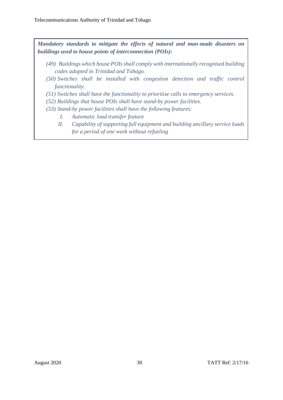*Mandatory standards to mitigate the effects of natural and man-made disasters on buildings used to house points of interconnection (POIs):*

- *(49) Buildings which house POIs shall comply with internationally recognised building codes adopted in Trinidad and Tobago.*
- *(50) Switches shall be installed with congestion detection and traffic control functionality.*
- *(51) Switches shall have the functionality to prioritise calls to emergency services.*
- *(52) Buildings that house POIs shall have stand-by power facilities.*
- *(53) Stand-by power facilities shall have the following features:*
	- *I. Automatic load transfer feature*
	- *II. Capability of supporting full equipment and building ancillary service loads for a period of one week without refueling*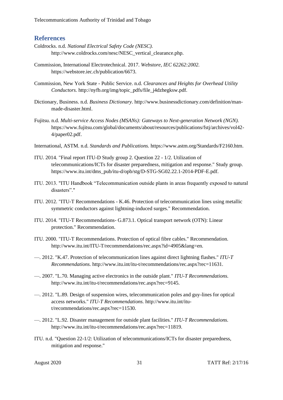<span id="page-35-0"></span>Telecommunications Authority of Trinidad and Tobago

# **References**

- Coldrocks. n.d. *National Electrical Safety Code (NESC).* http://www.coldrocks.com/nesc/NESC\_vertical\_clearance.php.
- Commission, International Electrotechnical. 2017. *Webstore, IEC 62262:2002.* https://webstore.iec.ch/publication/6673.
- Commission, New York State Public Service. n.d. *Clearances and Heights for Overhead Utility Conductors.* http://nyfb.org/img/topic\_pdfs/file\_j4dzhegksw.pdf.
- Dictionary, Business. n.d. *Business Dictionary.* http://www.businessdictionary.com/definition/manmade-disaster.html.
- Fujitsu. n.d. *Multi-service Access Nodes (MSANs): Gateways to Next-generation Network (NGN).* https://www.fujitsu.com/global/documents/about/resources/publications/fstj/archives/vol42- 4/paper02.pdf.
- International, ASTM. n.d. *Standards and Publications.* https://www.astm.org/Standards/F2160.htm.
- ITU. 2014. "Final report ITU-D Study group 2. Question 22 1/2. Utilization of telecommunications/ICTs for disaster preparedness, mitigation and response." Study group. https://www.itu.int/dms\_pub/itu-d/opb/stg/D-STG-SG02.22.1-2014-PDF-E.pdf.
- ITU. 2013. "ITU Handbook "Telecommunication outside plants in areas frequently exposed to natural disasters"."
- ITU. 2012. "ITU-T Recommendations K.46. Protection of telecommunication lines using metallic symmetric conductors against lightning-induced surges." Recommendation.
- ITU. 2014. "ITU-T Recommendations- G.873.1. Optical transport network (OTN): Linear protection." Recommendation.
- ITU. 2000. "ITU-T Recommendations. Protection of optical fibre cables." Recommendation. http://www.itu.int/ITU-T/recommendations/rec.aspx?id=4905&lang=en.
- —. 2012. "K.47. Protection of telecommunication lines against direct lightning flashes." *ITU-T Recommendations.* http://www.itu.int/itu-t/recommendations/rec.aspx?rec=11631.
- —. 2007. "L.70. Managing active electronics in the outside plant." *ITU-T Recommendations.* http://www.itu.int/itu-t/recommendations/rec.aspx?rec=9145.
- —. 2012. "L.89. Design of suspension wires, telecommunication poles and guy-lines for optical access networks." *ITU-T Recommendations.* http://www.itu.int/itut/recommendations/rec.aspx?rec=11530.
- —. 2012. "L.92. Disaster management for outside plant facilities." *ITU-T Recommendations.* http://www.itu.int/itu-t/recommendations/rec.aspx?rec=11819.
- ITU. n.d. "Question 22-1/2: Utilization of telecommunications/ICTs for disaster preparedness, mitigation and response."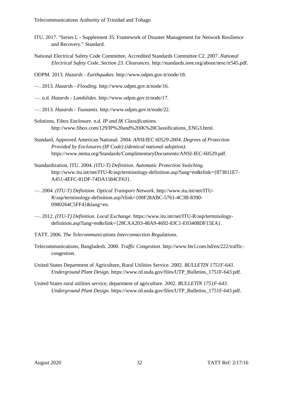- ITU. 2017. "Series L Supplement 35: Framework of Disaster Management for Network Resilience and Recovery." Standard.
- National Electrical Safety Code Committee, Accredited Standards Committee C2. 2007. *National Electrical Safety Code, Section 23. Clearances.* http://standards.ieee.org/about/nesc/ir545.pdf.
- ODPM. 2013. *Hazards - Earthquakes.* http://www.odpm.gov.tt/node/18.
- —. 2013. *Hazards - Flooding.* http://www.odpm.gov.tt/node/16.
- —. n.d. *Hazards - Landslides.* http://www.odpm.gov.tt/node/17.
- —. 2013. *Hazards - Tsunamis.* http://www.odpm.gov.tt/node/22.
- Solutions, Fibox Enclosure. n.d. *IP and IK Classifications.* http://www.fibox.com/129/IP%20and%20IK%20Classifications\_ENG3.html.
- Standard, Approved American National. 2004. *ANSI/IEC 60529-2004. Degrees of Protection Provided by Enclosures (IP Code) (identical national adoption).* https://www.nema.org/Standards/ComplimentaryDocuments/ANSI-IEC-60529.pdf.
- Standardization, ITU. 2004. *(ITU-T) Definition. Automatic Protection Switching.* http://www.itu.int/net/ITU-R/asp/terminology-definition.asp?lang=en&rlink={873811E7- A451-4EFC-81DF-74DA1584CF63}.
- —. 2004. *(ITU-T) Definition. Optical Transport Network.* http://www.itu.int/net/ITU-R/asp/terminology-definition.asp?rlink={00F28ABC-5761-4C3B-8390- 0980264C5FF4}&lang=en.
- —. 2012. *(ITU-T) Definition. Local Exchange.* https://www.itu.int/net/ITU-R/asp/terminologydefinition.asp?lang=en&rlink={28CAA203-48A9-4692-83C1-E03408DF15EA}.
- TATT. 2006. *The Telecommunications Interconnection Regulations.*
- Telecommunications, Bangladesh. 2000. *Traffic Congestion.* http://www.btcl.com.bd/en/222/trafficcongestion.
- United States Department of Agriculture, Rural Utilities Service. 2002. *BULLETIN 1751F-643. Underground Plant Design.* https://www.rd.usda.gov/files/UTP\_Bulletins\_1751F-643.pdf.
- United States rural utilities service, department of agriculture. 2002. *BULLETIN 1751F-643. Underground Plant Design.* https://www.rd.usda.gov/files/UTP\_Bulletins\_1751F-643.pdf.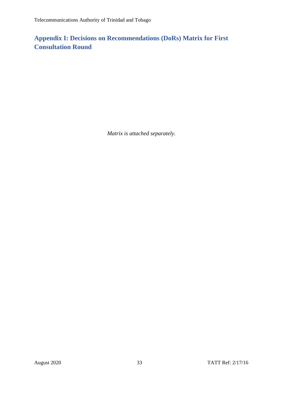# <span id="page-37-0"></span>**Appendix I: Decisions on Recommendations (DoRs) Matrix for First Consultation Round**

*Matrix is attached separately.*